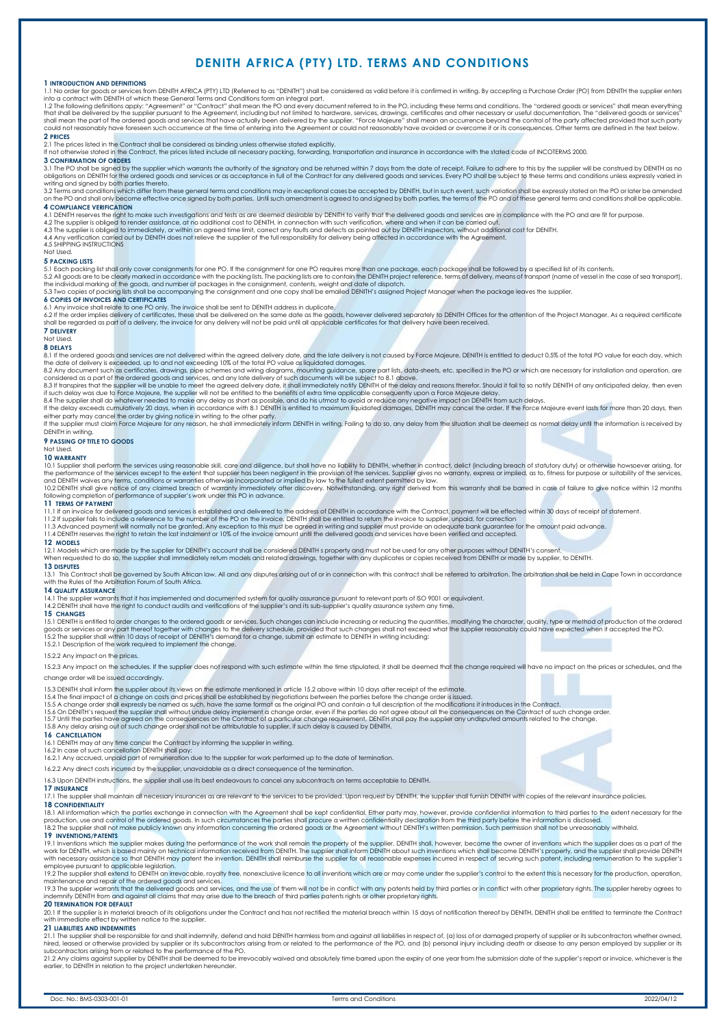# **DENITH AFRICA (PTY) LTD. TERMS AND CONDITIONS**

### **1 INTRODUCTION AND DEFINITIONS**

1.1 No order for goods or services from DENITH AFRICA (PTY) LTD (Referred to s "DENITH the supplier enters into<br>Into a contract with DENITH of which these General Terms and Conditions form an integral part.") shall be cons could not reasonably have foreseen such occurrence at the time of entering into the Agreement or could not reasonably have avoided or overcome it or its consequences. Other terms are defined in the text below **2 PRICES** 

2.1 The prices listed in the Contract shall be considered as binding unless otherwise stated explicitly.<br>If not otherwise stated in the Contract, the prices listed include all necessary packing, forwarding, transportation

# **3 CONFIRMATION OF ORDERS**

3.1 The PO shall be signed by the supplier which warrants the authority of the signatory and be returned within 7 days from the date of receipt. Failure to adhere to this by the supplier will be construed by DENITH as no<br>o writing and signed by both parties thereto.

3.2 Terms and conditions which differ from these general terms and conditions may in exceptional cases be accepted by DENITH, but in such event, such variation shall be expressly stated on the PO or later be amended<br>on the **4 COMPLIANCE VERIFICATION** 

4.1 DENITH reserves the right to make such investigations and tests as are deemed desirable by DENITH to verify that the delivered goods and services are in compliance with the PO and are fit for purpose.<br>4.2 The supplier

4.5 SHIPPING INSTRUCTIONS Not Used.

### **5 PACKING LISTS**

5.1 Each packing list shall only cover consignments for one PO. If the consignment for one PO requires more than one package, each package shall be followed by a specified list of its contents.<br>5.2 All goods are to be clea

**6 COPIES OF INVOICES AND CERTIFICATES**<br>6.1 Any invoice shall relate to one PO only. The invoice shall be sent to DENITH address in duplicate,<br>6.2 If the order implies delivery of certificates, these shall be delivered on **7 DELIVERY**

# Not Used.

**8 DELAYS**<br>If the ordered goods and services are not delivered within the agreed delivery date, and the late delivery is not caused by Force Majeure, DENITH is entitled to deduct 0.5% of the total PO value for each day, wh

either party may cancel the order by giving notice in writing to the other party.<br>If the supplier must claim Force Majeure for any reason, he shall immediately inform DENITH in writing. Failing to do so, any delay from the

# **9 PASSING OF TITLE TO GOODS** Not Used.

**10 WARRANTY** 

10.1 Supplier shall perform the services using reasonable skill, care and diligence, but shall have no liability ho DENITH, whether in contract, delict (including breach of statutory duty) or otherwise howsoever arising, f

### **11 TERMS OF PAYMENT**

11.1 If an invoice for delivered goods and services is established and delivered to the address of DENITH in accordance with the Contract, payment will be effected within 30 days of receipt of statement.<br>11.2 If supplier f

### **12 MODELS**

12.1 Models which are made by the supplier for DENITH's account shall be considered DENITH s property and must not be used for any other purposes without DENITH's consent.<br>When requested to do so, the supplier shall immedi

**13 DISPUTES**<br>13.1 This Contract shall be governed by South African law. All and any disputes arising out of or in connection with this contract shall be referred to arbitration. The arbitration shall be held in Cape Town

## **14 QUALITY ASSURANCE**

14.1 The supplier warrants that it has implemented and documented system for quality assurance pursuant to relevant parts of ISO 9001 or equivalent.<br>14.2 DENITH shall have the right to conduct audits and verifications of t

### **15 CHANGES**

15.1 DENITH is entitled to order changes to the ordered goods or services. Such changes can include increasing or reducing the quantities, modifying the character, quality, type or method of production of the ordered<br>15.2

### 15.2.2 Any impact on the prices.

15.2.3 Any impact on the schedules. If the supplier does not respond with such estimate within the time stipulated, it shall be deemed that the change required will have no impact on the prices or schedules, and the change order will be issued accordingly.

15.3 DENITH shall inform the supplier about its views on the estimate mentioned in article 15.2 above within 10 days after receipt of the estimate.

15.4 The final impact of a change on costs and prices shall be established by negotiations between the parties before the change order is issued.<br>15.5 A change order shall expressive be a media of such a state of the state

16 CANCELLATION<br>16.1 DENITH may at any time cancel the Contract by informing the supplier in writing.<br>16.2 In case of such cancellation DENITH shall pay:<br>16.2.1 Any accrued, unpaid part of remuneration due to the supplier

16.2.2 Any direct costs incurred by the supplier, unavoidable as a direct consequence of the termination.

16.3 Upon DENITH instructions, the supplier shall use its best endeavours to cancel any subcontracts on terms acceptable to DENITH.

## **17 INSURANCE**

17.1 The supplier shall maintain all necessary insurances as are relevant to the services to be provided. Upon request by DENITH, the supplier shall furnish DENITH with copies of the relevant insurance policies.

### **18 CONFIDENTIALITY**

18.1 All information which the parties exchange in connection with the Agreement shall be kept confidential. Either party may, however, provide confidential information to third parties to the extent necessary for the<br>prod 18.2 The supplier shall not make publicly known any information concerning the ordered goods or the Agreement without DENITH's written permission. Such permission shall not be unreasonably withheld. **19 INVENTIONS/PATENTS** 

# 19.1 Inventions which the supplier makes during the performance of the work shall remain the property of the supplier. DENITH shall, however, become the owner of inventions which the supplier does as a part of the<br>work for

employee pursuant to applicable legislation.<br>19.2 The supplier shall extend to DENITH an irrevocable, royalty free, nonexclusive licence to all inventions which are or may come under the supplier's control to the extent th

maintenance and repair of the ordered goods and services,<br>19.3 The supplier warrants that delivered goods and services, and the use of them will not be in conflict with any patents held by third parties or in conflict with **20 TERMINATION FOR DEFAULT**

20.1 If the supplier is in material breach of its obligations under the Contract and has not rectified the material breach within 15 days of notification thereof by DENITH, DENITH shall be entitled to terminate the Contrac

### **21 LIABILITIES AND INDEMNITIES**

21.1 The supplier shall be responsible for and shall indemnify, defend and hold DENITH harmless from and against all liabilities in respect of, (a) loss of or damaged property of supplier or its subcontractors whether owne subcontractors arising from or related to the performance of the PO.

21.2 Any claims against supplier by DENITH shall be deemed to be irrevocably waived and absolutely time barred upon the expiry of one year from the submission date of the supplier's report or invoice, whichever is the<br>earl